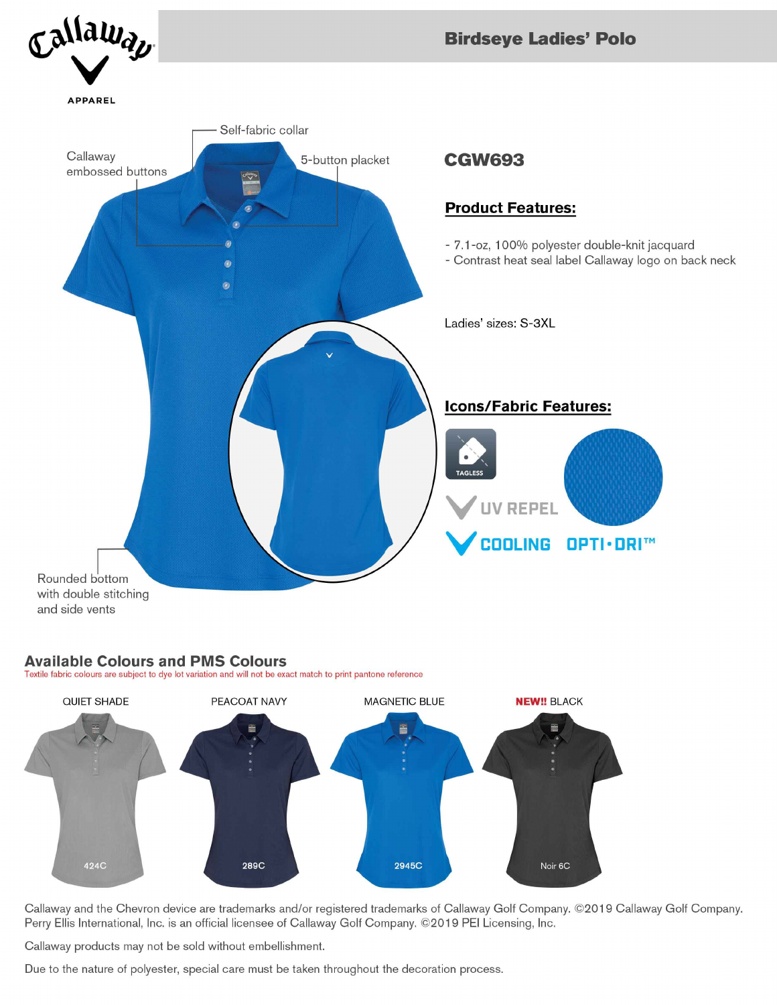

## **Available Colours and PMS Colours**

Textile fabric colours are subject to dye lot variation and will not be exact match to print pantone reference



Callaway and the Chevron device are trademarks and/or registered trademarks of Callaway Golf Company. ©2019 Callaway Golf Company. Perry Ellis International, Inc. is an official licensee of Callaway Golf Company. ©2019 PEI Licensing, Inc.

Callaway products may not be sold without embellishment.

Due to the nature of polyester, special care must be taken throughout the decoration process.